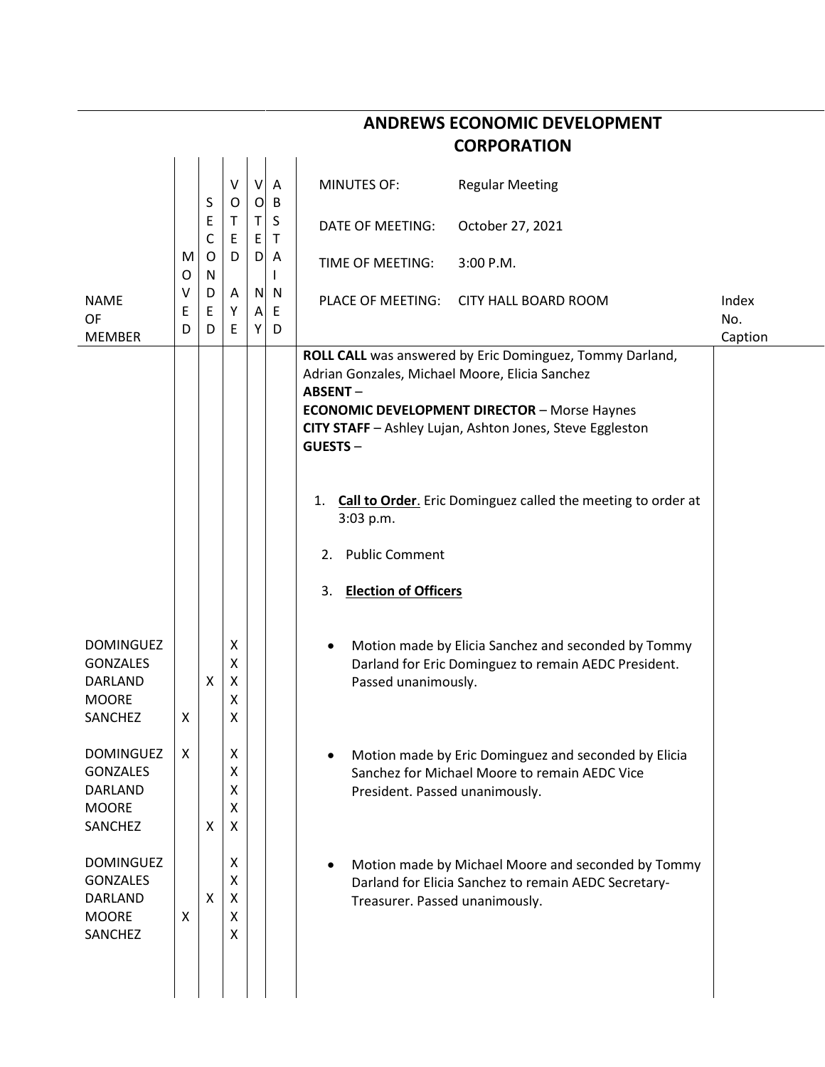|                                                                                  |        |                                         |                       |                     |                     | <b>CORPORATION</b>                                                                                                                                                                                                                                                                                                                                                                                                       |              |
|----------------------------------------------------------------------------------|--------|-----------------------------------------|-----------------------|---------------------|---------------------|--------------------------------------------------------------------------------------------------------------------------------------------------------------------------------------------------------------------------------------------------------------------------------------------------------------------------------------------------------------------------------------------------------------------------|--------------|
|                                                                                  |        |                                         | V<br>O                | V<br>$\overline{O}$ | A<br>B              | <b>MINUTES OF:</b><br><b>Regular Meeting</b>                                                                                                                                                                                                                                                                                                                                                                             |              |
|                                                                                  | M<br>O | S<br>E<br>$\mathsf C$<br>O<br>${\sf N}$ | T<br>E<br>D           | Τ<br>E<br>D         | S<br>$\mathsf{T}$   | DATE OF MEETING:<br>October 27, 2021                                                                                                                                                                                                                                                                                                                                                                                     |              |
|                                                                                  |        |                                         |                       |                     | A<br>L              | TIME OF MEETING:<br>3:00 P.M.                                                                                                                                                                                                                                                                                                                                                                                            |              |
| <b>NAME</b><br>OF                                                                | v<br>Е | D<br>$\mathsf E$                        | Α<br>Υ                | $\mathsf{A}$<br>Y   | N <sub>N</sub><br>E | PLACE OF MEETING:<br><b>CITY HALL BOARD ROOM</b>                                                                                                                                                                                                                                                                                                                                                                         | Index<br>No. |
| <b>MEMBER</b>                                                                    | D      | D                                       | E                     |                     | D                   | ROLL CALL was answered by Eric Dominguez, Tommy Darland,<br>Adrian Gonzales, Michael Moore, Elicia Sanchez<br><b>ABSENT-</b><br><b>ECONOMIC DEVELOPMENT DIRECTOR - Morse Haynes</b><br>CITY STAFF - Ashley Lujan, Ashton Jones, Steve Eggleston<br>GUESTS-<br><b>Call to Order.</b> Eric Dominguez called the meeting to order at<br>1.<br>3:03 p.m.<br><b>Public Comment</b><br>2.<br><b>Election of Officers</b><br>3. | Caption      |
| <b>DOMINGUEZ</b><br><b>GONZALES</b><br><b>DARLAND</b><br><b>MOORE</b><br>SANCHEZ | X      | X                                       | Χ<br>Χ<br>X<br>Χ<br>Χ |                     |                     | Motion made by Elicia Sanchez and seconded by Tommy<br>$\bullet$<br>Darland for Eric Dominguez to remain AEDC President.<br>Passed unanimously.                                                                                                                                                                                                                                                                          |              |
| <b>DOMINGUEZ</b><br><b>GONZALES</b><br>DARLAND<br><b>MOORE</b><br>SANCHEZ        | X      | X                                       | Χ<br>X<br>X<br>X<br>X |                     |                     | Motion made by Eric Dominguez and seconded by Elicia<br>٠<br>Sanchez for Michael Moore to remain AEDC Vice<br>President. Passed unanimously.                                                                                                                                                                                                                                                                             |              |
| <b>DOMINGUEZ</b><br><b>GONZALES</b><br>DARLAND<br><b>MOORE</b><br>SANCHEZ        | X      | X                                       | X<br>X<br>X<br>X<br>X |                     |                     | Motion made by Michael Moore and seconded by Tommy<br>٠<br>Darland for Elicia Sanchez to remain AEDC Secretary-<br>Treasurer. Passed unanimously.                                                                                                                                                                                                                                                                        |              |

## **ANDREWS ECONOMIC DEVELOPMENT**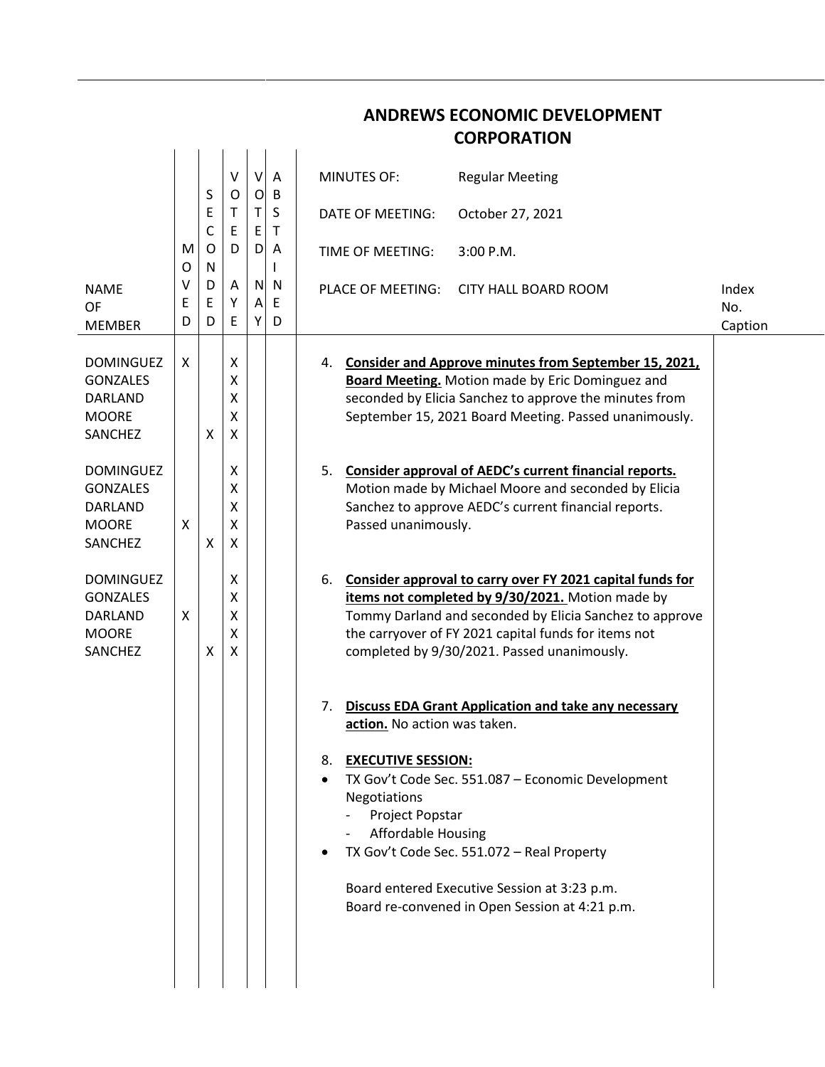|             |             |                       |        |             | <b>CORPORATION</b>                                                                                                                                                                                                                                                                         |                         |
|-------------|-------------|-----------------------|--------|-------------|--------------------------------------------------------------------------------------------------------------------------------------------------------------------------------------------------------------------------------------------------------------------------------------------|-------------------------|
|             |             | V                     | $\vee$ | Α           | <b>MINUTES OF:</b><br><b>Regular Meeting</b>                                                                                                                                                                                                                                               |                         |
|             | Ε           | т<br>Ε                |        | S<br>т      | October 27, 2021<br>DATE OF MEETING:                                                                                                                                                                                                                                                       |                         |
| M<br>O      | O<br>N      | D                     |        | A           | TIME OF MEETING:<br>$3:00$ P.M.                                                                                                                                                                                                                                                            |                         |
| ٧<br>E<br>D | D<br>E<br>D | A<br>Υ<br>Ε           |        | N<br>Ε<br>D | <b>PLACE OF MEETING:</b><br>CITY HALL BOARD ROOM                                                                                                                                                                                                                                           | Index<br>No.<br>Caption |
| X           | X           | X<br>Χ<br>Χ<br>X<br>X |        |             | 4. Consider and Approve minutes from September 15, 2021,<br><b>Board Meeting.</b> Motion made by Eric Dominguez and<br>seconded by Elicia Sanchez to approve the minutes from<br>September 15, 2021 Board Meeting. Passed unanimously.                                                     |                         |
| X           | X           | х<br>Χ<br>Χ<br>Χ<br>X |        |             | Consider approval of AEDC's current financial reports.<br>5.<br>Motion made by Michael Moore and seconded by Elicia<br>Sanchez to approve AEDC's current financial reports.<br>Passed unanimously.                                                                                         |                         |
| X           | X           | Χ<br>Χ<br>Χ<br>X<br>X |        |             | Consider approval to carry over FY 2021 capital funds for<br>6.<br>items not completed by 9/30/2021. Motion made by<br>Tommy Darland and seconded by Elicia Sanchez to approve<br>the carryover of FY 2021 capital funds for items not<br>completed by 9/30/2021. Passed unanimously.      |                         |
|             |             |                       |        |             | <b>Discuss EDA Grant Application and take any necessary</b><br>7.<br>action. No action was taken.                                                                                                                                                                                          |                         |
|             |             |                       |        |             | 8. EXECUTIVE SESSION:<br>TX Gov't Code Sec. 551.087 - Economic Development<br>Negotiations<br>Project Popstar<br><b>Affordable Housing</b><br>TX Gov't Code Sec. 551.072 - Real Property<br>Board entered Executive Session at 3:23 p.m.<br>Board re-convened in Open Session at 4:21 p.m. |                         |
|             |             | S<br>C                | O      |             | B<br>$\circ$<br>T.<br>E<br>D<br>N<br>$\mathsf{A}$<br>Y                                                                                                                                                                                                                                     |                         |

## **ANDREWS ECONOMIC DEVELOPMENT**